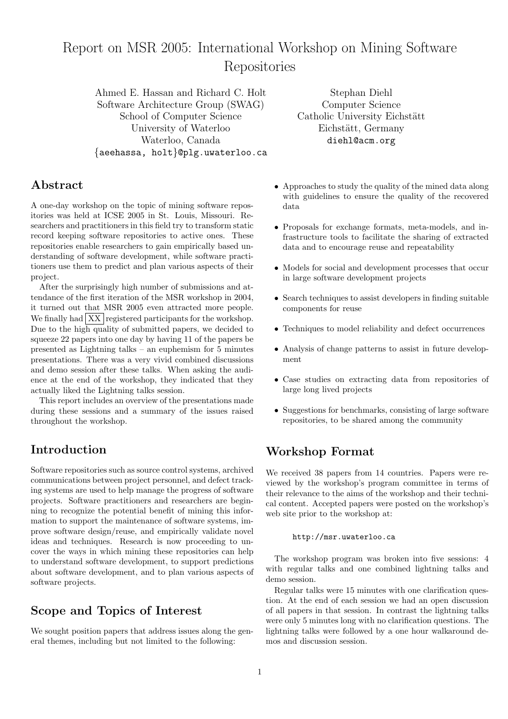# Report on MSR 2005: International Workshop on Mining Software Repositories

Ahmed E. Hassan and Richard C. Holt Software Architecture Group (SWAG) School of Computer Science University of Waterloo Waterloo, Canada {aeehassa, holt}@plg.uwaterloo.ca

# Abstract

A one-day workshop on the topic of mining software repositories was held at ICSE 2005 in St. Louis, Missouri. Researchers and practitioners in this field try to transform static record keeping software repositories to active ones. These repositories enable researchers to gain empirically based understanding of software development, while software practitioners use them to predict and plan various aspects of their project.

After the surprisingly high number of submissions and attendance of the first iteration of the MSR workshop in 2004, it turned out that MSR 2005 even attracted more people. We finally had  $|XX|$  registered participants for the workshop. Due to the high quality of submitted papers, we decided to squeeze 22 papers into one day by having 11 of the papers be presented as Lightning talks – an euphemism for 5 minutes presentations. There was a very vivid combined discussions and demo session after these talks. When asking the audience at the end of the workshop, they indicated that they actually liked the Lightning talks session.

This report includes an overview of the presentations made during these sessions and a summary of the issues raised throughout the workshop.

# Introduction

Software repositories such as source control systems, archived communications between project personnel, and defect tracking systems are used to help manage the progress of software projects. Software practitioners and researchers are beginning to recognize the potential benefit of mining this information to support the maintenance of software systems, improve software design/reuse, and empirically validate novel ideas and techniques. Research is now proceeding to uncover the ways in which mining these repositories can help to understand software development, to support predictions about software development, and to plan various aspects of software projects.

# Scope and Topics of Interest

We sought position papers that address issues along the general themes, including but not limited to the following:

Stephan Diehl Computer Science Catholic University Eichstätt Eichstätt, Germany diehl@acm.org

- Approaches to study the quality of the mined data along with guidelines to ensure the quality of the recovered data
- Proposals for exchange formats, meta-models, and infrastructure tools to facilitate the sharing of extracted data and to encourage reuse and repeatability
- Models for social and development processes that occur in large software development projects
- Search techniques to assist developers in finding suitable components for reuse
- Techniques to model reliability and defect occurrences
- Analysis of change patterns to assist in future development
- Case studies on extracting data from repositories of large long lived projects
- Suggestions for benchmarks, consisting of large software repositories, to be shared among the community

# Workshop Format

We received 38 papers from 14 countries. Papers were reviewed by the workshop's program committee in terms of their relevance to the aims of the workshop and their technical content. Accepted papers were posted on the workshop's web site prior to the workshop at:

### http://msr.uwaterloo.ca

The workshop program was broken into five sessions: 4 with regular talks and one combined lightning talks and demo session.

Regular talks were 15 minutes with one clarification question. At the end of each session we had an open discussion of all papers in that session. In contrast the lightning talks were only 5 minutes long with no clarification questions. The lightning talks were followed by a one hour walkaround demos and discussion session.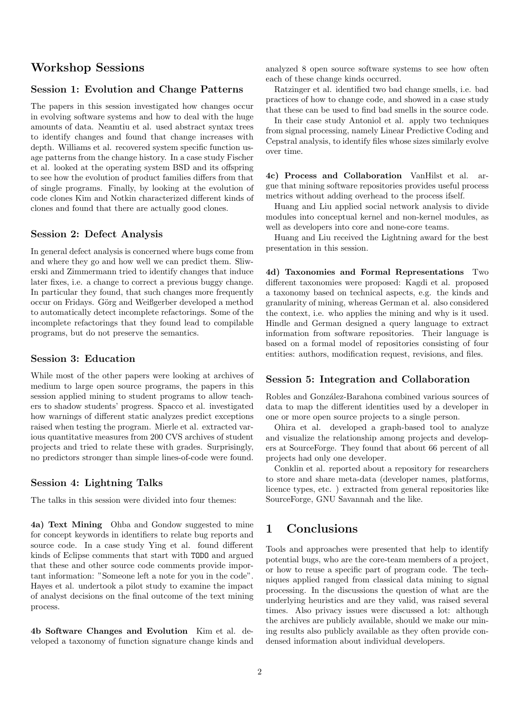## Workshop Sessions

### Session 1: Evolution and Change Patterns

The papers in this session investigated how changes occur in evolving software systems and how to deal with the huge amounts of data. Neamtiu et al. used abstract syntax trees to identify changes and found that change increases with depth. Williams et al. recovered system specific function usage patterns from the change history. In a case study Fischer et al. looked at the operating system BSD and its offspring to see how the evolution of product families differs from that of single programs. Finally, by looking at the evolution of code clones Kim and Notkin characterized different kinds of clones and found that there are actually good clones.

### Session 2: Defect Analysis

In general defect analysis is concerned where bugs come from and where they go and how well we can predict them. Sliwerski and Zimmermann tried to identify changes that induce later fixes, i.e. a change to correct a previous buggy change. In particular they found, that such changes more frequently occur on Fridays. Görg and Weißgerber developed a method to automatically detect incomplete refactorings. Some of the incomplete refactorings that they found lead to compilable programs, but do not preserve the semantics.

#### Session 3: Education

While most of the other papers were looking at archives of medium to large open source programs, the papers in this session applied mining to student programs to allow teachers to shadow students' progress. Spacco et al. investigated how warnings of different static analyzes predict exceptions raised when testing the program. Mierle et al. extracted various quantitative measures from 200 CVS archives of student projects and tried to relate these with grades. Surprisingly, no predictors stronger than simple lines-of-code were found.

### Session 4: Lightning Talks

The talks in this session were divided into four themes:

4a) Text Mining Ohba and Gondow suggested to mine for concept keywords in identifiers to relate bug reports and source code. In a case study Ying et al. found different kinds of Eclipse comments that start with TODO and argued that these and other source code comments provide important information: "Someone left a note for you in the code". Hayes et al. undertook a pilot study to examine the impact of analyst decisions on the final outcome of the text mining process.

4b Software Changes and Evolution Kim et al. developed a taxonomy of function signature change kinds and analyzed 8 open source software systems to see how often each of these change kinds occurred.

Ratzinger et al. identified two bad change smells, i.e. bad practices of how to change code, and showed in a case study that these can be used to find bad smells in the source code.

In their case study Antoniol et al. apply two techniques from signal processing, namely Linear Predictive Coding and Cepstral analysis, to identify files whose sizes similarly evolve over time.

4c) Process and Collaboration VanHilst et al. argue that mining software repositories provides useful process metrics without adding overhead to the process ifself.

Huang and Liu applied social network analysis to divide modules into conceptual kernel and non-kernel modules, as well as developers into core and none-core teams.

Huang and Liu received the Lightning award for the best presentation in this session.

4d) Taxonomies and Formal Representations Two different taxonomies were proposed: Kagdi et al. proposed a taxonomy based on technical aspects, e.g. the kinds and granularity of mining, whereas German et al. also considered the context, i.e. who applies the mining and why is it used. Hindle and German designed a query language to extract information from software repositories. Their language is based on a formal model of repositories consisting of four entities: authors, modification request, revisions, and files.

### Session 5: Integration and Collaboration

Robles and González-Barahona combined various sources of data to map the different identities used by a developer in one or more open source projects to a single person.

Ohira et al. developed a graph-based tool to analyze and visualize the relationship among projects and developers at SourceForge. They found that about 66 percent of all projects had only one developer.

Conklin et al. reported about a repository for researchers to store and share meta-data (developer names, platforms, licence types, etc. ) extracted from general repositories like SourceForge, GNU Savannah and the like.

### 1 Conclusions

Tools and approaches were presented that help to identify potential bugs, who are the core-team members of a project, or how to reuse a specific part of program code. The techniques applied ranged from classical data mining to signal processing. In the discussions the question of what are the underlying heuristics and are they valid, was raised several times. Also privacy issues were discussed a lot: although the archives are publicly available, should we make our mining results also publicly available as they often provide condensed information about individual developers.